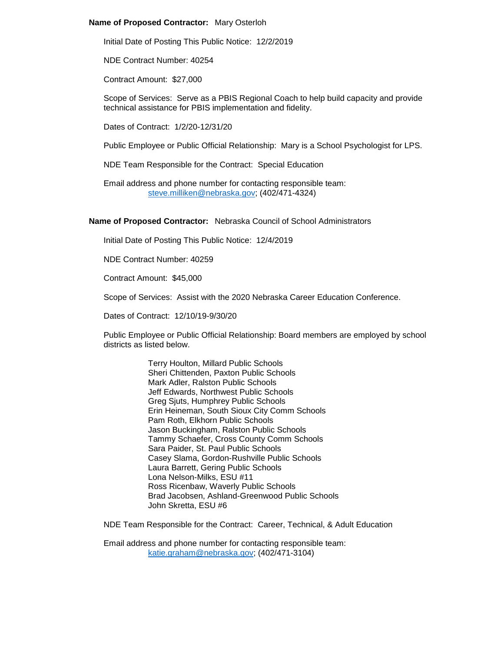# **Name of Proposed Contractor:** Mary Osterloh

Initial Date of Posting This Public Notice: 12/2/2019

NDE Contract Number: 40254

Contract Amount: \$27,000

Scope of Services: Serve as a PBIS Regional Coach to help build capacity and provide technical assistance for PBIS implementation and fidelity.

Dates of Contract: 1/2/20-12/31/20

Public Employee or Public Official Relationship: Mary is a School Psychologist for LPS.

NDE Team Responsible for the Contract: Special Education

Email address and phone number for contacting responsible team: [steve.milliken@nebraska.gov;](mailto:steve.milliken@nebraska.gov) (402/471-4324)

### **Name of Proposed Contractor:** Nebraska Council of School Administrators

Initial Date of Posting This Public Notice: 12/4/2019

NDE Contract Number: 40259

Contract Amount: \$45,000

Scope of Services: Assist with the 2020 Nebraska Career Education Conference.

Dates of Contract: 12/10/19-9/30/20

Public Employee or Public Official Relationship: Board members are employed by school districts as listed below.

> Terry Houlton, Millard Public Schools Sheri Chittenden, Paxton Public Schools Mark Adler, Ralston Public Schools Jeff Edwards, Northwest Public Schools Greg Sjuts, Humphrey Public Schools Erin Heineman, South Sioux City Comm Schools Pam Roth, Elkhorn Public Schools Jason Buckingham, Ralston Public Schools Tammy Schaefer, Cross County Comm Schools Sara Paider, St. Paul Public Schools Casey Slama, Gordon-Rushville Public Schools Laura Barrett, Gering Public Schools Lona Nelson-Milks, ESU #11 Ross Ricenbaw, Waverly Public Schools Brad Jacobsen, Ashland-Greenwood Public Schools John Skretta, ESU #6

NDE Team Responsible for the Contract: Career, Technical, & Adult Education

Email address and phone number for contacting responsible team: [katie.graham@nebraska.gov;](mailto:katie.graham@nebraska.gov) (402/471-3104)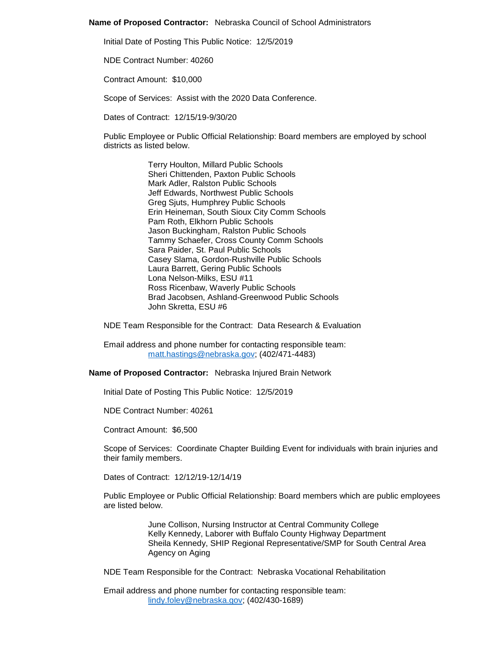### **Name of Proposed Contractor:** Nebraska Council of School Administrators

Initial Date of Posting This Public Notice: 12/5/2019

NDE Contract Number: 40260

Contract Amount: \$10,000

Scope of Services: Assist with the 2020 Data Conference.

Dates of Contract: 12/15/19-9/30/20

Public Employee or Public Official Relationship: Board members are employed by school districts as listed below.

> Terry Houlton, Millard Public Schools Sheri Chittenden, Paxton Public Schools Mark Adler, Ralston Public Schools Jeff Edwards, Northwest Public Schools Greg Sjuts, Humphrey Public Schools Erin Heineman, South Sioux City Comm Schools Pam Roth, Elkhorn Public Schools Jason Buckingham, Ralston Public Schools Tammy Schaefer, Cross County Comm Schools Sara Paider, St. Paul Public Schools Casey Slama, Gordon-Rushville Public Schools Laura Barrett, Gering Public Schools Lona Nelson-Milks, ESU #11 Ross Ricenbaw, Waverly Public Schools Brad Jacobsen, Ashland-Greenwood Public Schools John Skretta, ESU #6

NDE Team Responsible for the Contract: Data Research & Evaluation

Email address and phone number for contacting responsible team: [matt.hastings@nebraska.gov;](mailto:matt.hastings@nebraska.gov) (402/471-4483)

### **Name of Proposed Contractor:** Nebraska Injured Brain Network

Initial Date of Posting This Public Notice: 12/5/2019

NDE Contract Number: 40261

Contract Amount: \$6,500

Scope of Services: Coordinate Chapter Building Event for individuals with brain injuries and their family members.

Dates of Contract: 12/12/19-12/14/19

Public Employee or Public Official Relationship: Board members which are public employees are listed below.

> June Collison, Nursing Instructor at Central Community College Kelly Kennedy, Laborer with Buffalo County Highway Department Sheila Kennedy, SHIP Regional Representative/SMP for South Central Area Agency on Aging

NDE Team Responsible for the Contract: Nebraska Vocational Rehabilitation

Email address and phone number for contacting responsible team: [lindy.foley@nebraska.gov;](mailto:lindy.foley@nebraska.gov) (402/430-1689)